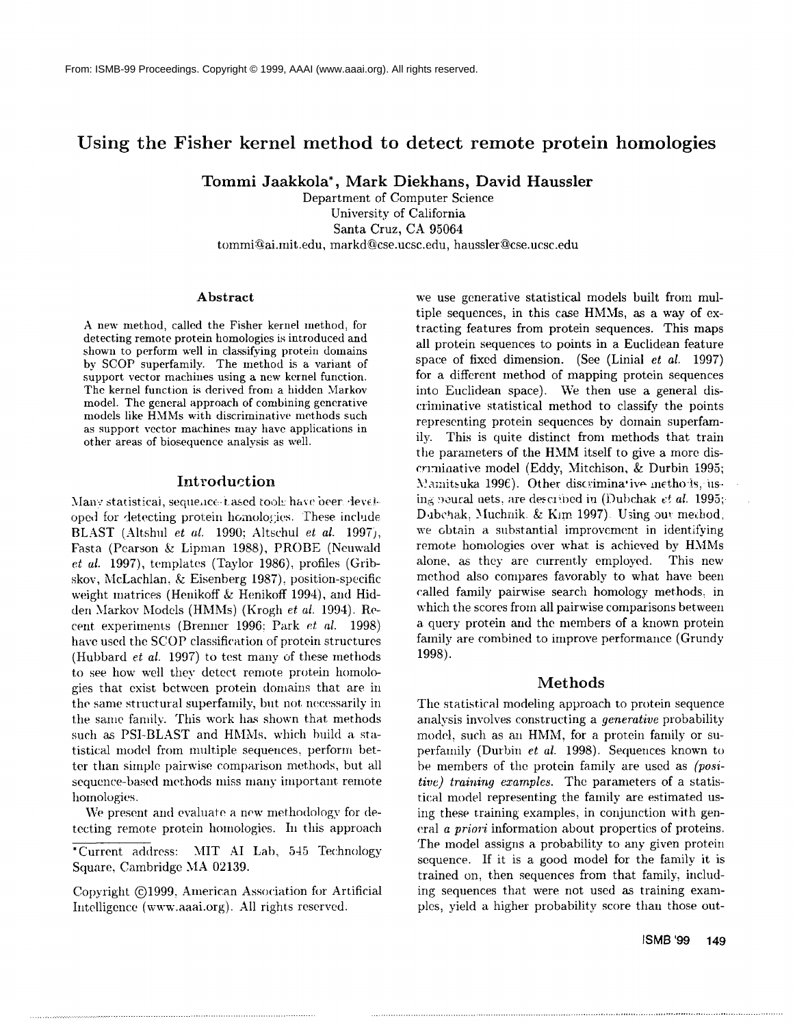# **Using the Fisher kernel method to detect remote protein homologies**

**Tommi Jaakkola\*, Mark Diekhans, David Haussler**

**Department of Computer Science University of California Santa Cruz, CA 95064**  $t$ ommi@ai.mit.edu, markd@cse.ucsc.edu, haussler@cse.ucsc.edu

#### **Abstract**

A new method, called the Fisher kernel method, for detecting remote protein homologies is introduced and shown to perform well in classifying protein domains by SCOP superfamily. The method is a variant of support vector machines using a new kernel function. The kernel function is derived from a hidden Markov model. The general approach of combining generative models like HMMs with discriminative methods such as support vector machines may have applications in other areas of biosequence analysis as well.

### Introduction

Many statistical, sequence-t ased tool: have been developed for detecting protein homologies. These include BLAST (Altshul *et al.* 1990; Altschul *et al.* 1997), Fasta (Pearson & Lipman 1988), PROBE (Neuwald *et al.* 1997), templates (Taylor 1986), profiles (Gribskov, McLachlan, & Eisenberg 1987), position-specific weight matrices (Henikoff & Henikoff 1994), and Hidden Markov Models (HMMs) (Krogh *et al.* 1994). Recent experiments (Brenner 1996: Park *et al.* 1998) have used the SCOP classification of protein structures (Hubbard *et al.* 1997) to test many of these methods to see how well they detect remote protein homologies that exist between protein domains that are in the same structural superfamily, but not necessarily in the same family. This work has shown that methods such as PSI-BLAST and HMMs, which build a statistical model from multiple sequences, perform better than simple pairwise comparison methods, but all sequence-based methods miss many important remote homologies.

We present and evaluate a new methodology for detecting remote protein homologies. In this approach

\*Current address: MIT AI Lab, 545 Technology Square, Cambridge MA 02139.

Copyright @1999, Aineriean Association for Artificial Intelligence (www.aaai.org). All rights reserved.

we use generative statistical models built from nmltiple sequences, in this case HMMs, as a way of extracting features from protein sequences. This maps all protein sequences to points in a Euclidean feature space of fixed dimension. (See (Liniai *et al.* 1997) for a different method of mapping protein sequences into Euclidean space). We then use a general discriminative statistical method to classify the points representing protein sequences by domain superfamily. This is quite distinct from methods that train the parmneters of the HMM itself to give a more discrlrninative model (Eddy, Mitchison, & Durbin 1995; Mamitsuka 1996). Other discriminative methods, using neural nets, are described in (Dubchak  $et$   $al.$  1995; Dubchak, Muchnik & Kim 1997). Using our mechod, we obtain a substantial improvement in identifying remote homologies over what is achieved by HMMs alone, as they are currently employed. This new method also compares favorably to what have been called family pairwise search homology methods: in which the scores from all pairwise comparisons between a query protein and the members of a known protein family are combined to improve performance (Grundy 1998).

## Methods

The statistical modeling approach to protein sequence analysis involves constructing a *generative* probability model, such as an HMM, for a protein family or superfamily (Durbin *et al.* 1998). Sequences known to be members of the protein family are used as *(positive) training examples.* The parameters of a statistical model representing the family are estimated using these training examples, in conjunction with general *a priori* information about properties of proteins. The model assigns a probability to any given protein sequence. If it is a good model for the family it is trained on, then sequences from that family, including sequences that were not used as training examples, yield a higher probability score than those out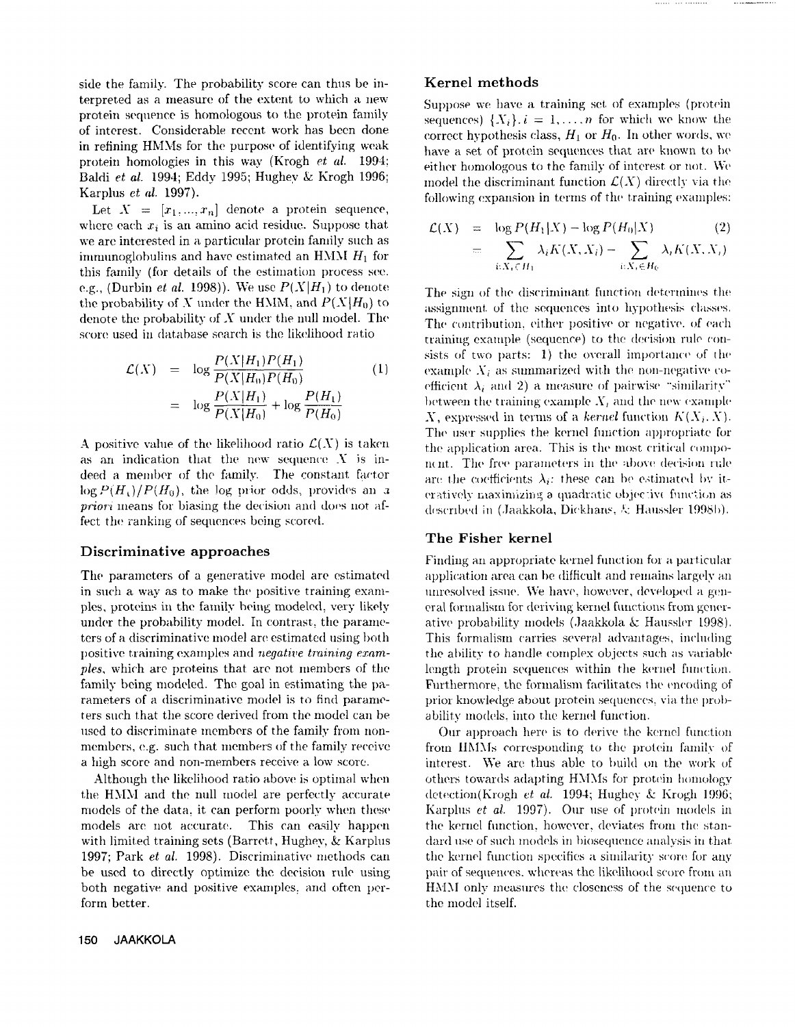side the family. The probability score can thus be interpreted as a measure of the extent to which a new protein sequence is homologous to the protein family of interest. Considerable recent work has been done in refining HMMs for the purpose of identifying weak protein homologies in this way (Krogh *et aL* 1994; Baldi *et al.* 1994; Eddy 1995; Hughey & Krogh 1996; Karplus *st al.* **1997).**

Let  $X = [x_1, ..., x_n]$  denote a protein sequence, where each  $x_i$  is an amino acid residue. Suppose that we are interested in a particular protein family such as immunoglobulins and have estimated an HMM  $H_1$  for this family (for details of the estimation process see. e.g., (Durbin *et al.* 1998)). We use  $P(X|H_1)$  to denote the probability of X under the HMM, and  $P(X|H_0)$  to denote the probability of X under the null model. The score used in database search is the likelihood ratio

$$
\mathcal{L}(X) = \log \frac{P(X|H_1)P(H_1)}{P(X|H_0)P(H_0)} \tag{1}
$$
\n
$$
= \log \frac{P(X|H_1)}{P(X|H_0)} + \log \frac{P(H_1)}{P(H_0)}
$$

A positive value of the likelihood ratio  $\mathcal{L}(X)$  is taken as an indication that the new sequence  $X$  is indeed a member of the family. The constant factor  $log P(H<sub>t</sub>)/P(H<sub>0</sub>)$ , the log prior odds, provides an a *priori* means for biasing the decision and does not affect the ranking of sequences being scored.

#### Discriminative approaches

The parameters of a generative model are estimated in such a way as to make the positive training exampies, proteins in the fanfily being modeled, very likely under the probability model. In contrast, the parameters of a discriminative model are estimated using both positive training examples and *negative training examples,* which are proteins that are not members of the family being modeled. The goal in estimating the parameters of a discriminative model is to find parameters such that the score derived from the model can be used to discriminate members of the family from nonmembers, e.g. such that members of the family receive **a** high score and non-mernbers receive a low score.

Although the likelihood ratio above is optimal when the HMM and the null model are perfectly accurate models of the data. it can perform poorly when these models are not accurate. This can easily happen with limited training sets (Barrett, Hughey, & Karplus 1997; Park *et al.* 1998). Discriminative methods can be used to directly optimize the decision rule using both negative and positive examples, and often perform better.

#### Kernel methods

Suppose we have a training set of examples (protein sequences)  $\{X_i\}$ .  $i = 1, ..., n$  for which we know the correct hypothesis class,  $H_1$  or  $H_0$ . In other words, we have a set of protein sequences that are known to be either homologous to the fantily of interest or not. We model the discriminant function  $\mathcal{L}(X)$  directly via the following expansion in terms of the training examples:

$$
\mathcal{L}(X) = \log P(H_1|X) - \log P(H_0|X) \qquad (2)
$$

$$
= \sum_{i:X_i \in H_1} \lambda_i K(X, X_i) - \sum_{i:X_i \in H_0} \lambda_i K(X, X_i)
$$

The sign of the discriminant function determines the assignment of the sequences into hypothesis classes. The contribution, either positive or negative, of each training example (sequence) to the decision rule consists of two parts:  $1)$  the overall importance of the example  $X_i$  as summarized with the non-negative coefficient  $\lambda_i$  and 2) a measure of pairwise "similarity" between the training example  $X_i$  and the new example X, expressed in terms of a *kernel* function  $K(X_i, X)$ . The user supplies the kernel function appropriate for the application area. This is the most critical component. The free parameters in the above decision rule are the coefficients  $\lambda_i$ : these can be estimated by iteratively maximizing a quadratic objective function as described in (Jaakkola, Dickhans, & Haussler 1998b).

### The Fisher kernel

Finding an appropriate kernel function for a particular application area can be difficult and remains largely *an* unresolved issue. We have, however, developed a general formalism for deriving kernel functions from generative probability models (Jaakkola & Haussler 1998). This formalism carries several advantages, including the ability to handle complex objects such as variable length protein sequences within the kernel function. Furthermore, the formalism facilitates the encoding of prior knowledge about protein sequences, via the probability models, into the kernel function.

Our approach here is to derive the kernel function from IIMMs corresponding to the protein family of interest. We are thus able to build on the work of others towards adapting HMMs for protein homology detection(Krogh *et al.* 1994; Hughey & Krogh 1996; Karplus *et al.* 1997). Our use of protein models in the kernel function, however, deviates from the standard use of such models in biosequence analysis in that the kernel function specifies a similarity score for any pair of sequences, whereas the likelihood score from an HMM only measures the closeness of the sequence to the model itself.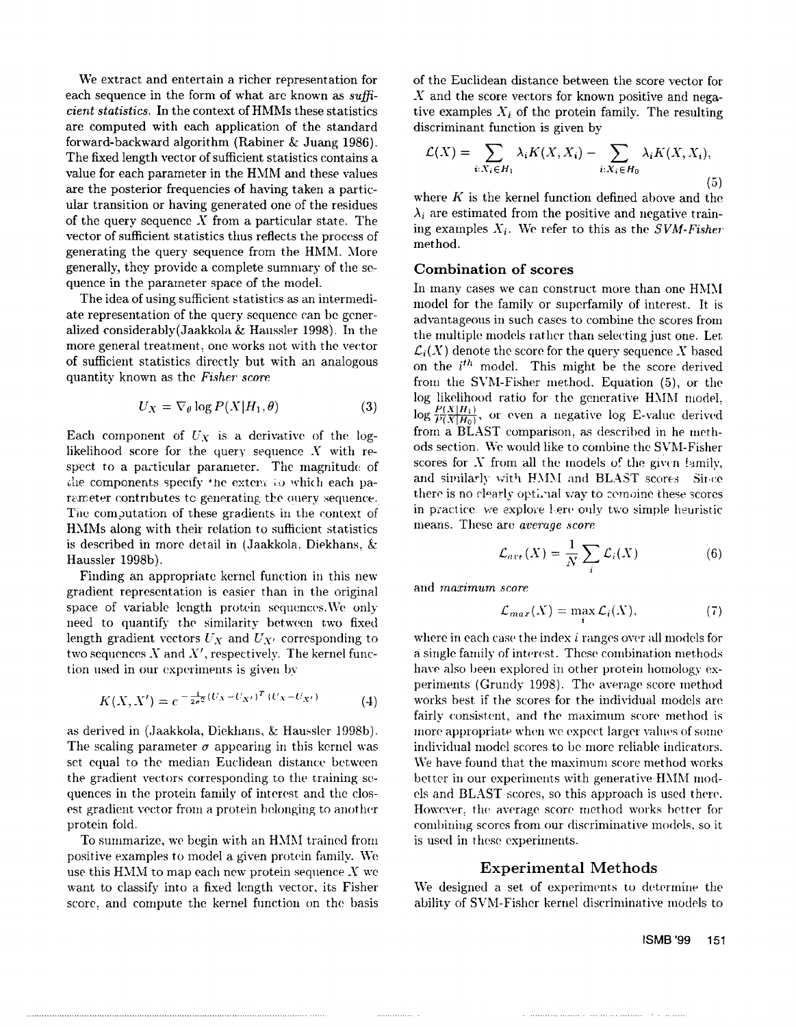We extract and entertain a richer representation for each sequence in the form of what arc known as *sufficient statistics.* In the context of HMMs these statistics are computed with each application of the standard forward-backward algorithm (Rabiner & Juang 1986). The fixed length vector of sufficient statistics contains a value for each parameter in the HMM and these values are the posterior frequencies of having taken a particular transition or having generated one of the residues of the query sequence X from a particular state. The vector of sufficient statistics thus reflects the process of generating the query sequence from the HMM. More generally, they provide a complete summary of the sequence in the parameter space of the model.

The idea of using sufficient statistics as an intermediate representation of the query sequence can he generalized considerably(Jaakkola & Haussler 1998). In the more general treatment, one works not with the vector of sufficient statistics directly but with an analogous quantity known as the *Fisher score.*

$$
U_X = \nabla_{\theta} \log P(X|H_1, \theta) \tag{3}
$$

Each component of  $U_X$  is a derivative of the loglikelihood score for the query sequence  $X$  with respect to a particular parameter. The magnitude of the components specify the extent to which each parameter contributes to generating the ouery sequence. The computation of these gradients in the context of H.MMs along with their relation to sufficient statistics is described in more detail in (Jaakkola, Diekhans, Haussler 1998b).

Finding an appropriate kernel function in this new gradient representation is easier than in the original space of variable length protein sequences. We only need to quantify the similarity between two fixed length gradient vectors  $U_X$  and  $U_{X'}$  corresponding to two sequences  $X$  and  $X'$ , respectively. The kernel function used in our experiments is given by

$$
K(X, X') = e^{-\frac{1}{2\sigma^2}(U_X - U_{X'})^T (U_X - U_{X'})}
$$
(4)

as derived in (Jaakkola, Diekhans, & Haussler 1998b). The scaling parameter  $\sigma$  appearing in this kernel was set equal to the median Euclidean distance between the gradient vectors corresponding to the training sequences in the protein family of interest and the closest gradient vector from a protein belonging to another protein fold.

To summarize, we begin with an HMM trained from positive examples to model a given protein family. We use this  $HMM$  to map each new protein sequence X we want to classify into a fixed length vector, its Fisher score, and compute the kernel function on the basis

of the Euclidean distance between the score vector for  $X$  and the score vectors for known positive and negative examples  $X_i$  of the protein family. The resulting discriminant function is given by

$$
\mathcal{L}(X) = \sum_{i:X_i \in H_1} \lambda_i K(X, X_i) - \sum_{i:X_i \in H_0} \lambda_i K(X, X_i),
$$
\n(5)

where  $K$  is the kernel function defined above and the  $\lambda_i$  are estimated from the positive and negative training examples *Xi. We* refer to this as the *SVM-Fisher* method.

### **Combination of scores**

In many cases we can construct more than one HMM model for the family or superfamily of interest. It is advantageous in such cases to combine the scores from the multiple models rather than selecting just one. Let.  $\mathcal{L}_i(X)$  denote the score for the query sequence X based on the  $i^{th}$  model. This might be the score derived from the SVM-Fisher method. Equation (5), or the log likelihood ratio for the generative HMM model.  $\log \frac{P(X|H_1)}{P(X|H_0)}$ , or even a negative log E-value derived from a BLAST comparison, as described in he methods section. We would like to combine the SVM-Fisher scores for  $X$  from all the models of the given family, and similarly with HMM and BLAST scores Since there is no clearly optimal way to combine these scores in practice, we explore here only two simple heuristic means. These are *average score*.

$$
\mathcal{L}_{ave}(X) = \frac{1}{N} \sum_{i} \mathcal{L}_i(X) \tag{6}
$$

and *maximum* score

. . . . . . . . . . . . . . . .

$$
\mathcal{L}_{max}(X) = \max_{i} \mathcal{L}_i(X), \tag{7}
$$

where in each case the index  $i$  ranges over all models for a single family of interest. These combination methods have also been explored in other protein homology experiments (Grundy 1998). The average score method works best if the scores for the individual models are fairly consistent, and the maximum score method is more appropriate when we expect larger values of some individual model scores to be more reliable indicators. We have found that the maximum score method works better in our experiments with generative HMM models and BLAST scores, so this approach is used there. However, the average score method works better for combining scores from our discriminative models, so it is used in these experiments.

### Experimental Methods

We designed a set of experiments to determine the ability of SVM-Fisher kernel discriminative models to

#### **ISMB '99 151**

the committee of the com-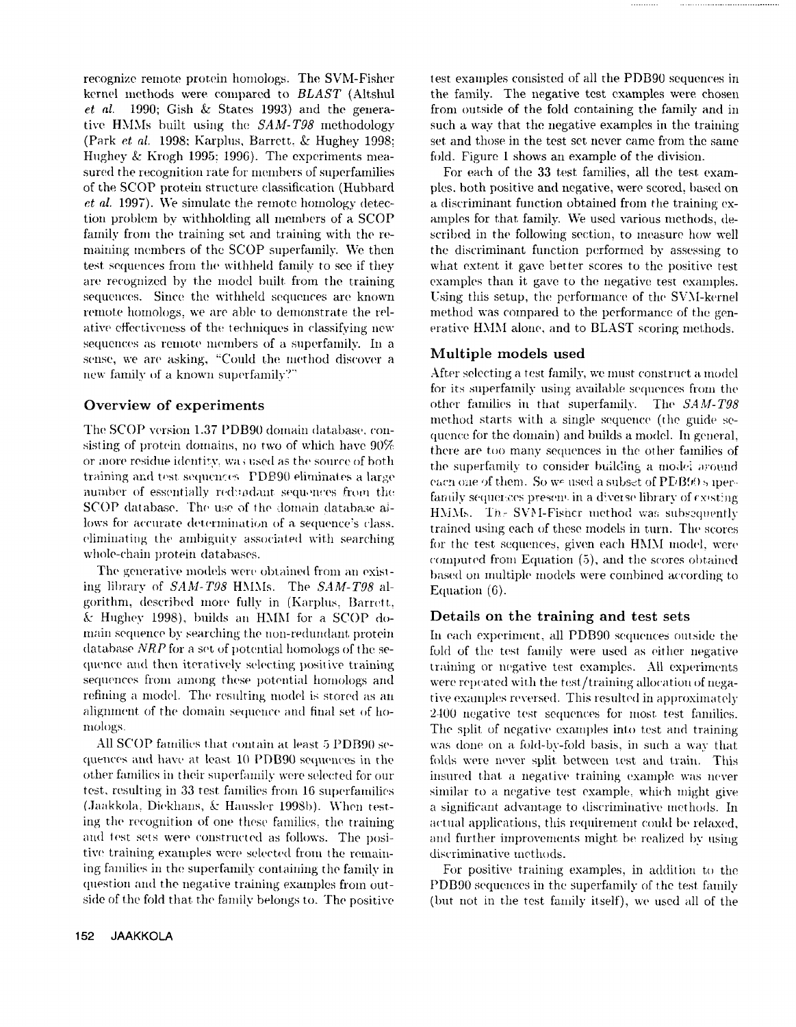recognize remote protein homologs. The SVM-Fisher kernel methods were compared to BLAST (Altshul et al. 1990; Gish & States 1993) and the generative HMMs built using the SAM-T98 methodology (Park et al. 1998: Karolus, Barrett, & Hughey 1998: Hughey & Krogh 1995; 1996). The experiments measured the recognition rate for members of superfamilies of the SCOP protein structure classification (Hubbard *et al.* 1997). We simulate the remote homology detection problem by withholding all members of a SCOP family from the training set and training with the remaining members of the SCOP superfamily. We then test sequences from the withheld family to see if they are recognized by the model built from the training sequences. Since the withheld sequences are known remote homologs, we are able to demonstrate the relative effectiveness of the techniques in classifying new sequences as remote members of a superfamily. In a sense, we are asking, "Could the method discover a new family of a known superfamily?"

### Overview of experiments

The SCOP version 1.37 PDB90 domain database, consisting of protein domains, no two of which have 90% or more residue identity, was used as the source of both training and test sequences PDB90 eliminates a large number of essentially redundant sequences from the SCOP database. The use of the domain database allows for accurate determination of a sequence's class. eliminating the ambiguity associated with searching whole-chain protein databases.

The generative models were obtained from an existing library of SAM-T98 HMMs. The SAM-T98 algorithm, described more fully in (Karplus, Barrett, & Hughey 1998), builds an HMM for a SCOP domain sequence by searching the non-redundant protein database NRP for a set of potential homologs of the sequence and then iteratively selecting positive training sequences from among these potential homologs and refining a model. The resulting model is stored as an alignment of the domain sequence and final set of homologs.

All SCOP families that contain at least 5 PDB90 sequences and have at least 10 PDB90 sequences in the other families in their superfamily were selected for our test, resulting in 33 test families from 16 superfamilies (Jaakkola, Diekhans, & Haussler 1998b). When testing the recognition of one these families, the training and test sets were constructed as follows. The positive training examples were selected from the remaining families in the superfamily containing the family in question and the negative training examples from outside of the fold that the family belongs to. The positive test examples consisted of all the PDB90 sequences in the family. The negative test examples were chosen from outside of the fold containing the family and in such a way that the negative examples in the training set and those in the test set never came from the same fold. Figure 1 shows an example of the division.

For each of the 33 test families, all the test examples, both positive and negative, were scored, based on a discriminant function obtained from the training examples for that family. We used various methods, described in the following section, to measure how well the discriminant function performed by assessing to what extent it gave better scores to the positive test examples than it gave to the negative test examples. Using this setup, the performance of the SVM-kernel method was compared to the performance of the generative HMM alone, and to BLAST scoring methods.

## Multiple models used

After selecting a test family, we must construct a model for its superfamily using available sequences from the other families in that superfamily. The SAM-T98 method starts with a single sequence (the guide sequence for the domain) and builds a model. In general, there are too many sequences in the other families of the superfamily to consider building a model around each one of them. So we used a subset of PDB905 iperfamily sequences present in a diverse library of existing HMMs. The SVM-Fisher method was subsequently trained using each of these models in turn. The scores for the test sequences, given each HMM model, were computed from Equation (5), and the scores obtained based on multiple models were combined according to Equation  $(6)$ .

## Details on the training and test sets

In each experiment, all PDB90 sequences outside the fold of the test family were used as either negative training or negative test examples. All experiments were repeated with the test/training allocation of negative examples reversed. This resulted in approximately 2400 negative test sequences for most test families. The split of negative examples into test and training was done on a fold-by-fold basis, in such a way that folds were never split between test and train. This insured that a negative training example was never similar to a negative test example, which might give a significant advantage to discriminative methods. In actual applications, this requirement could be relaxed, and further improvements might be realized by using discriminative methods.

For positive training examples, in addition to the PDB90 sequences in the superfamily of the test family (but not in the test family itself), we used all of the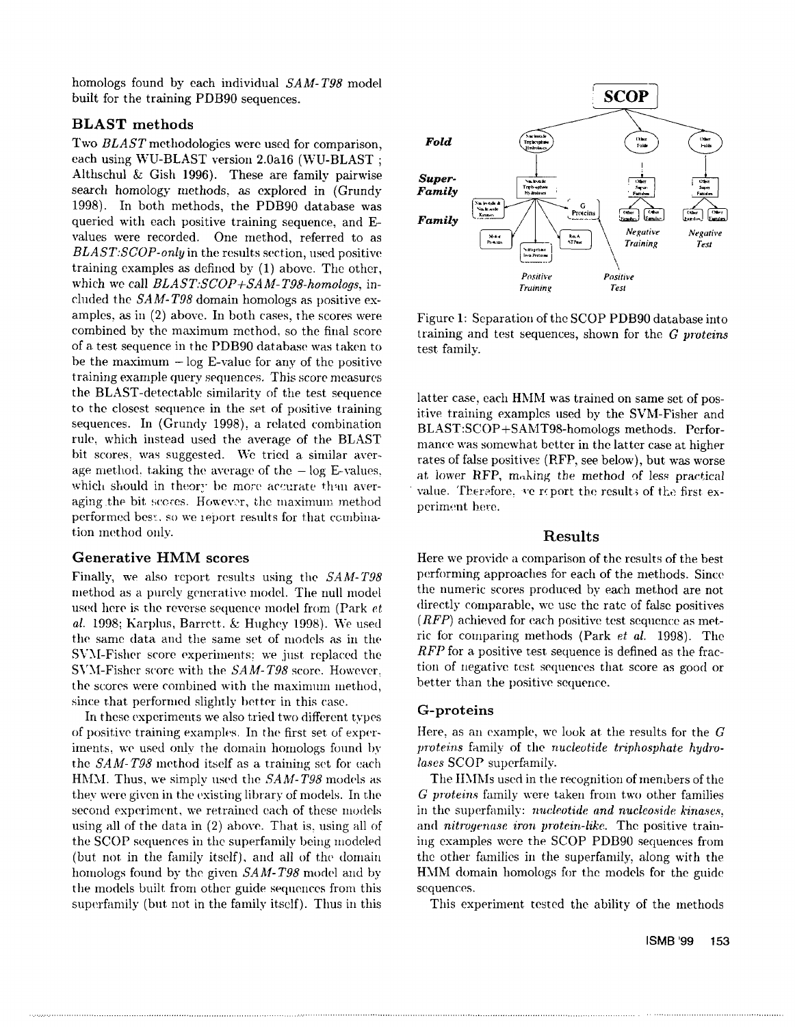homologs found by each individual *SAM-T98* model built for the training PDB90 sequences.

## **BLAST methods**

Two *BLAST* methodologies were used for comparison, each using WU-BLAST version 2.0a16 (WU-BLAST Althschul & Gish 1996). These are family pairwise search homology methods, as explored in (Grundy 1998). In both methods, the PDB90 database was queried with each positive training sequence, and Evalues were recorded. One method, referred to as *BLAST:SCOP-only* in the results section, used positive training examples as defined by  $(1)$  above. The other, which we call *BLAST.'SCOP+SAM-TP8-homoloys,* included the *SAM-T98* domain homologs as positive examples, as in  $(2)$  above. In both cases, the scores were combined by the maximum method, so the final score of a test. sequence in the PDB90 database was taken to be the maximum  $-\log E$ -value for any of the positive training example query sequences. This score measures the BLAST-detectable similarity of the test sequence to the closest sequence in the set of positive training sequences. In (Grundy 1998), a related combination rule, which instead used the average of the BLAST bit scores, was suggested. We tried a similar average method, taking the average of the  $-\log E$ -values, which should in theory be more accurate than averaging the bit scores. However, the maximum method performed bes:, so we zeport results for that combination method only.

### **Generative HMM scores**

Finally, we also report results using the *SAM-T98* method as a purely generative model. The null model used here is the reverse sequence model from (Park  $et$ *el.* 1998; Karplus, Barrett. &: Hughey 1998). We used the same data and the same set of models as in the SVM-Fisher score experiments; we just replaced the SVY.I-Fisher score with the *SAM-T98* score. However. the scores were combined with the maximum method, since that performed slightly better in this case.

In these experiments we also tried two different types of positive training examples. In the first set of experiments, we used only the domain homologs found by the *SAM-T98* method itself as a training set for each HMM. Thus, we simply used the *SAM-T98* models as they were given in the existing library of models. In the second experiment, we retrained each of these models using all of the data in (2) above. That is, using all the SCOP sequences in the superfamily being modeled (but not in the family itself), and all of the domain homologs found by the given *SAM-T98* model and by the models built from other guide sequences from this superfamily (but not in the family itself). Thus in this



Figure 1: Separation of the SCOP PDB90 database into training and test sequences, shown for the *G* proteins test family.

latter case, each HMM was trained on same set of positive training examples used by the SVM-Fisher and BLAST:SCOP+SAMT98-homologs methods. Performance was somewhat better in the latter case at higher rates of false positives (RFP, see below), but was worse at, lower RFP, making the method of less practical value. Therefore, we report the results of the first experiment here.

### **Results**

Here we provide a comparison of the results of the best performing approaches for each of the methods. Since the numeric scores produced by each method are not directly comparable, we use the rate of false positives  $(RFP)$  achieved for each positive test sequence as metric for comparing methods (Park *et el.* 1998). The *RFP* for a positive test sequence is defined as the fraction of negative test sequences that score as good or better than the positive sequence.

### **G-proteins**

Here, as an example, we look at the results for the  $G$ *proteins* family of the *nucleotide triphosphate hydrolases* SCOP superfamily.

The IIMMs used in the recognition of members of the *G proteins* family were taken from two other families in the superfamily: *nucleotide and nucleoside kinases*, and *nitrogenase iron protein-like*. The positive training examples were the SCOP PDB90 sequences from the other families in the superfamily, along with the HMM domain homologs for the models for the guide sequences.

This experiment tested the ability of the methods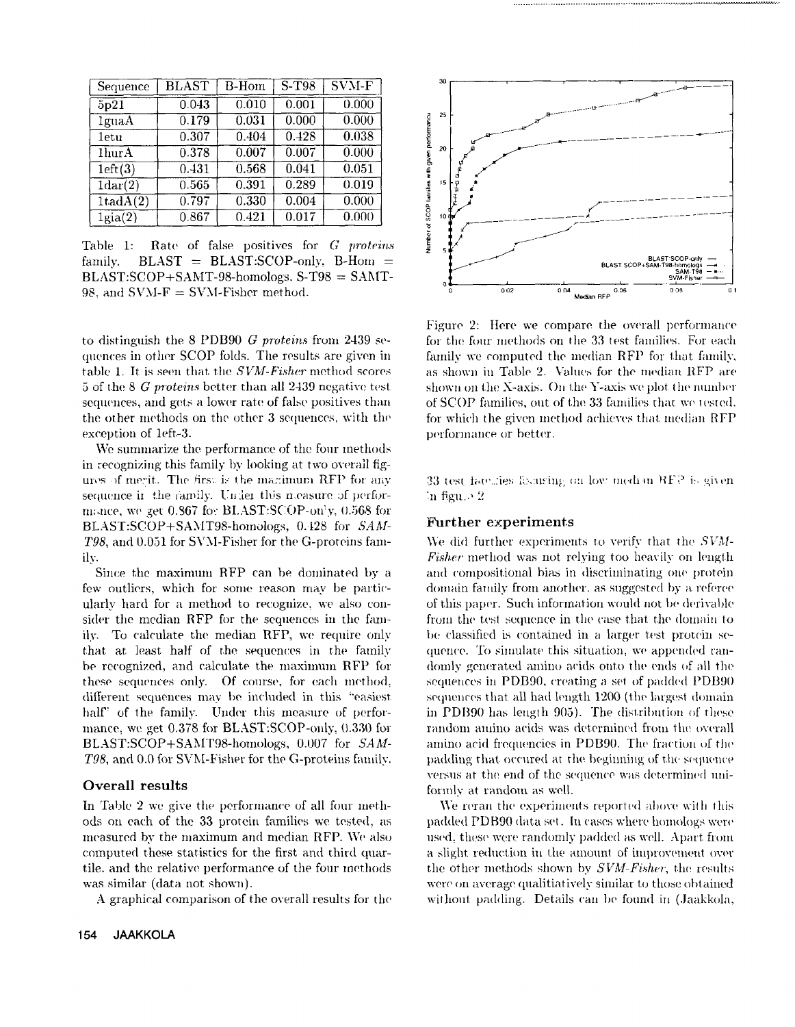| Sequence          | <b>BLAST</b> |       | $\overline{S-T98}$ | $\overline{\mathrm{SVM}\text{-}\mathrm{F}}$ |  |
|-------------------|--------------|-------|--------------------|---------------------------------------------|--|
| 5p21              | 0.043        | 0.010 | 0.001              | 0.000                                       |  |
| lguaA             | 0.179        | 0.031 | 0.000              | 0.000                                       |  |
| <b>letu</b>       | 0.307        | 0.404 | 0.428              | 0.038                                       |  |
| 1hur A            | 0.378        | 0.007 | 0.007              | 0.000                                       |  |
| $1 \text{eff}(3)$ | 0.431        | 0.568 | 0.041              | 0.051                                       |  |
| 1dar(2)           | 0.565        | 0.391 | 0.289              | 0.019                                       |  |
| 1tadA(2)          | 0.797        | 0.330 | 0.004              | 0.000                                       |  |
| $1$ gia $(2)$     | 0.867        | 0.421 | 0.017              | 0.000                                       |  |

Rate of false positives for G proteins Table 1:  $BLAST = BLAST:SCOP-only, B-Hom =$ family.  $BLAST:SCOP + SAMT-98-homologs. S-T98 = SAMT-$ 98. and  $SVM-F = SVM-Fisher method$ .

to distinguish the 8 PDB90 G proteins from 2439 sequences in other SCOP folds. The results are given in table 1. It is seen that the SVM-Fisher method scores 5 of the 8 G proteins better than all 2439 negative test sequences, and gets a lower rate of false positives than the other methods on the other 3 sequences, with the exception of 1eft-3.

We summarize the performance of the four methods in recognizing this family by looking at two overall figures of merit. The first is the manimum RFP for any sequence in the ramily. Under this measure of performance, we get 0.867 for BLAST:SCOP-only, 0.568 for BLAST:SCOP+SAMT98-homologs, 0.428 for SAM-T98, and 0.051 for SVM-Fisher for the G-proteins familv.

Since the maximum RFP can be dominated by a few outliers, which for some reason may be particularly hard for a method to recognize, we also consider the median RFP for the sequences in the family. To calculate the median RFP, we require only that at least half of the sequences in the family be recognized, and calculate the maximum RFP for these sequences only. Of course, for each method, different sequences may be included in this "easiest half" of the family. Under this measure of performance, we get 0.378 for BLAST:SCOP-only, 0.330 for BLAST:SCOP+SAMT98-homologs, 0.007 for SAM-T98, and 0.0 for SVM-Fisher for the G-proteins family.

### Overall results

In Table 2 we give the performance of all four methods on each of the 33 protein families we tested, as measured by the maximum and median RFP. We also computed these statistics for the first and third quartile, and the relative performance of the four methods was similar (data not shown).

A graphical comparison of the overall results for the



Figure 2: Here we compare the overall performance for the four methods on the 33 test families. For each family we computed the median RFP for that family, as shown in Table 2. Values for the median RFP are shown on the X-axis. On the Y-axis we plot the number of SCOP families, out of the 33 families that we tested. for which the given method achieves that median RFP performance or better.

33 test faculties following on low median RFP is given In figure  $2$ 

### **Further experiments**

We did further experiments to verify that the SVM-*Fisher* method was not relying too heavily on length and compositional bias in discriminating one protein domain family from another, as suggested by a referee of this paper. Such information would not be derivable from the test sequence in the case that the domain to be classified is contained in a larger test protein sequence. To simulate this situation, we appended randomly generated amino acids onto the ends of all the sequences in PDB90, creating a set of padded PDB90 sequences that all had length 1200 (the largest domain in PDB90 has length 905). The distribution of these random amino acids was determined from the overall amino acid frequencies in PDB90. The fraction of the padding that occured at the beginning of the sequence versus at the end of the sequence was determined uniformly at random as well.

We reran the experiments reported above with this padded PDB90 data set. In cases where homologs were used, these were randomly padded as well. Apart from a slight reduction in the amount of improvement over the other methods shown by SVM-Fisher, the results were on average qualitiatively similar to those obtained without padding. Details can be found in (Jaakkola,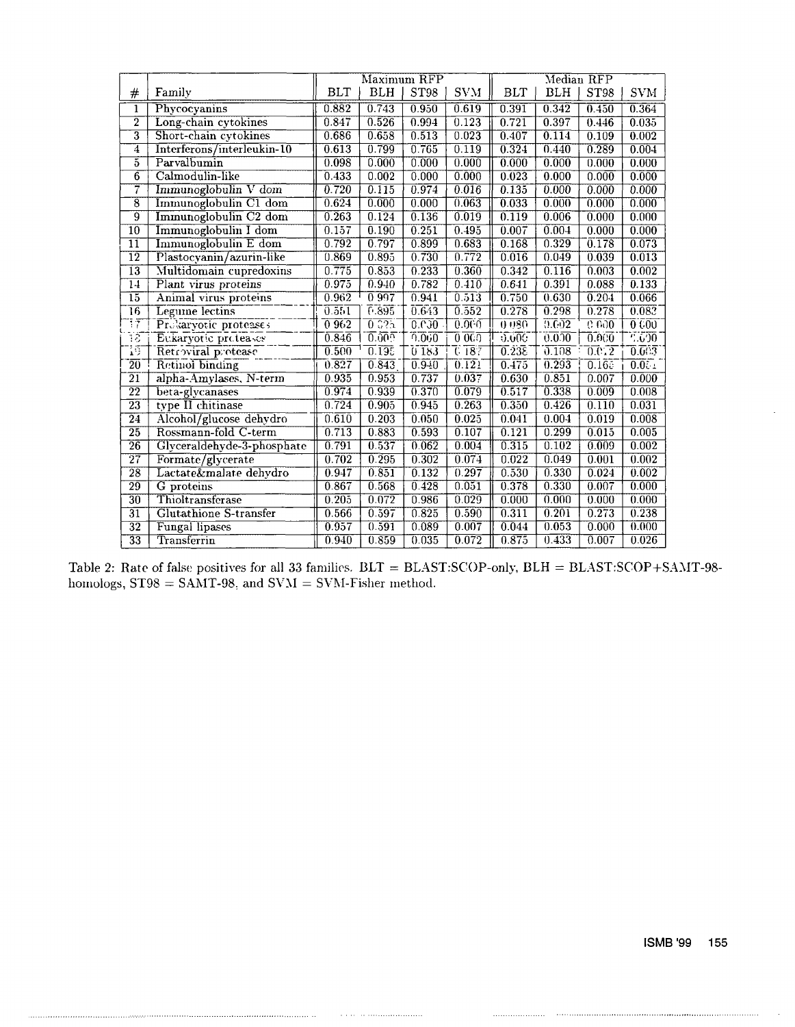|                            |                               | Maximum RFP |                    |                  | Median RFP         |                    |        |                    |            |
|----------------------------|-------------------------------|-------------|--------------------|------------------|--------------------|--------------------|--------|--------------------|------------|
| $^{\#}$                    | Family                        | <b>BLT</b>  | BLH                | ST <sub>98</sub> | <b>SVM</b>         | <b>BLT</b>         | BLH    | ST98               | <b>SVM</b> |
| $\mathbf{1}$               | Phycocyanins                  | 0.882       | 0.743              | 0.950            | 0.619              | 0.391              | 0.342  | 0.450              | 0.364      |
| $\overline{2}$             | Long-chain cytokines          | 0.847       | 0.526              | 0.994            | 0.123              | 0.721              | 0.397  | 0.446              | 0.035      |
| $\overline{3}$             | Short-chain cytokines         |             | 0.658              | 0.513            | 0.023              | 0.407              | 0.114  | 0.109              | 0.002      |
| $\overline{4}$             | Interferons/interleukin-10    |             | 0.799              | 0.765            | 0.119              | 0.324              | 0.440  | 0.289              | 0.004      |
| $\overline{5}$             | Parvalbumin                   | 0.098       | 0.000              | 0.000            | 0.000              | 0.000              | 0.000  | 0.000              | 0.000      |
| $\overline{6}$             | Calmodulin-like               |             | 0.002              | 0.000            | 0.000              | 0.023              | 0.000  | 0.000              | 0.000      |
|                            | 7<br>Immunoglobulin V dom     |             | 0.115              | 0.974            | 0.016              | 0.135              | 0.000  | 0.000              | 0.000      |
| $\overline{\bf 8}$         | Immunoglobulin C1 dom         | 0.624       | 0.000              | 0.000            | 0.063              | 0.033              | 0.000  | 0.000              | 0.000      |
| ğ                          | Immunoglobulin C2 dom         |             | 0.124              | 0.136            | 0.019              | 0.119              | 0.006  | 0.000              | 0.000      |
| $\overline{10}$            | Immunoglobulin I dom          | 0.157       | 0.190              | 0.251            | 0.495              | 0.007              | 0.004  | 0.000              | 0.000      |
| 11                         | Immunoglobulin E dom          | 0.792       | 0.797              | 0.899            | 0.683              | 0.168              | 0.329  | 0.178              | 0.073      |
| $\overline{12}$            | Plastocyanin/azurin-like      | 0.869       | 0.895              | 0.730            | 0.772              | 0.016              | 0.049  | 0.039              | 0.013      |
| $\overline{13}$            | Multidomain cupredoxins       | 0.775       | 0.853              | 0.233            | 0.360              | 0.342              | 0.116  | 0.003              | 0.002      |
| 14                         | Plant virus proteins          | 0.975       | 0.940              | 0.782            | 0.410              | 0.641              | 0.391  | 0.088              | 0.133      |
| $\overline{15}$            | Animal virus proteins         | 0.962       | 0 9 9 7            | 0.941            | 0.513              | 0.750              | 0.630  | 0.201              | 0.066      |
| $\overline{16}$            | Legume lectins                | 0.551       | 0.895              | 0.643            | 0.552              | 0.278              | 0.298  | 0.278              | 0.083      |
| 37                         | $Prof$ aryotic protesses      | 0962        | 0.025              | 0.030            | 0.005              | 0.080              | 0.602  | G 600              | 0.000      |
| 18                         | Eukaryotic proteases          | 0.846       | 0.005              | 0.000            | 0000               | 0.000              | 0.0.00 | 0.000              | 1.600      |
| 15                         | Retroviral protease           | 0.500       | $\overline{0.195}$ | 0183             | $\overline{0.187}$ | $\overline{0.238}$ | 0.108  | $\overline{0.012}$ | $0.003$ .  |
| $\overline{20}$            | Retinol binding               | 0.827       | 0.843              | $0.9 - 0$        | 0.121              | 0.475              | 0.293  | $\overline{0.165}$ | 0.051      |
| $\overline{21}$            | alpha-Amylases, N-term        | 0.935       | 0.953              | 0.737            | 0.037              | 0.630              | 0.851  | 0.007              | 0.000      |
| $\overline{22}$            | beta-glycanases               | 0.974       | 0.939              | 0.370            | 0.079              | 0.517              | 0.338  | 0.009              | 0.008      |
| $\overline{2}\overline{3}$ | type II chitinase             | 0.724       | 0.905              | 0.945            | 0.263              | 0.350              | 0.426  | 0.110              | 0.031      |
| $\overline{24}$            | Alcohol/glucose dehydro       | 0.610       | 0.203              | 0.050            | 0.025              | 0.041              | 0.004  | 0.019              | 0.008      |
| $\overline{25}$            | Rossmann-fold C-term          | 0.713       | 0.883              | 0.593            | 0.107              | 0.121              | 0.299  | 0.015              | 0.005      |
| $\overline{26}$            | Glyceraldehyde-3-phosphate    | 0.791       | 0.537              | 0.062            | 0.004              | 0.315              | 0.102  | 0.009              | 0.002      |
| $\overline{27}$            | Formate/glycerate             | 0.702       | 0.295              | 0.302            | 0.074              | 0.022              | 0.049  | 0.001              | 0.002      |
| $\overline{28}$            | Lactate&malate dehydro        | 0.947       | 0.851              | 0.132            | 0.297              | 0.530              | 0.330  | 0.024              | 0.002      |
| $\overline{29}$            | G proteins                    | 0.867       | 0.568              | 0.428            | 0.051              | 0.378              | 0.330  | 0.007              | 0.000      |
| $\overline{30}$            | Thioltransferase              | 0.205       | 0.072              | 0.986            | 0.029              | 0.000              | 0.000  | 0.000              | 0.000      |
| $\overline{31}$            | <b>Glutathione S-transfer</b> | 0.566       | 0.597              | 0.825            | 0.590              | 0.311              | 0.201  | 0.273              | 0.238      |
| $\overline{32}$            | <b>Fungal lipases</b>         | 0.957       | 0.591              | 0.089            | 0.007              | 0.044              | 0.053  | 0.000              | 0.000      |
| $\overline{33}$            | Transferrin                   | 0.940       | 0.859              | 0.035            | 0.072              | 0.875              | 0.433  | 0.007              | 0.026      |

Table 2: Rate of false positives for all 33 families. BLT = BLAST:SCOP-only, BLH = BLAST:SCOP+SAMT-98homologs,  $ST98 = SAMT-98$ , and  $SVM = SWM$ -Fisher method.

 $\begin{minipage}{.4\linewidth} \begin{tabular}{l} \hline \textbf{1} & \textbf{2} & \textbf{3} & \textbf{4} & \textbf{5} & \textbf{5} & \textbf{6} & \textbf{6} & \textbf{7} & \textbf{8} & \textbf{9} & \textbf{10} & \textbf{10} & \textbf{10} & \textbf{10} & \textbf{10} & \textbf{10} & \textbf{10} & \textbf{10} & \textbf{10} & \textbf{10} & \textbf{10} & \textbf{10} & \textbf{10} & \textbf{10} & \textbf{10} &$ 

. . . . . . . . . . . . . . . . . . . .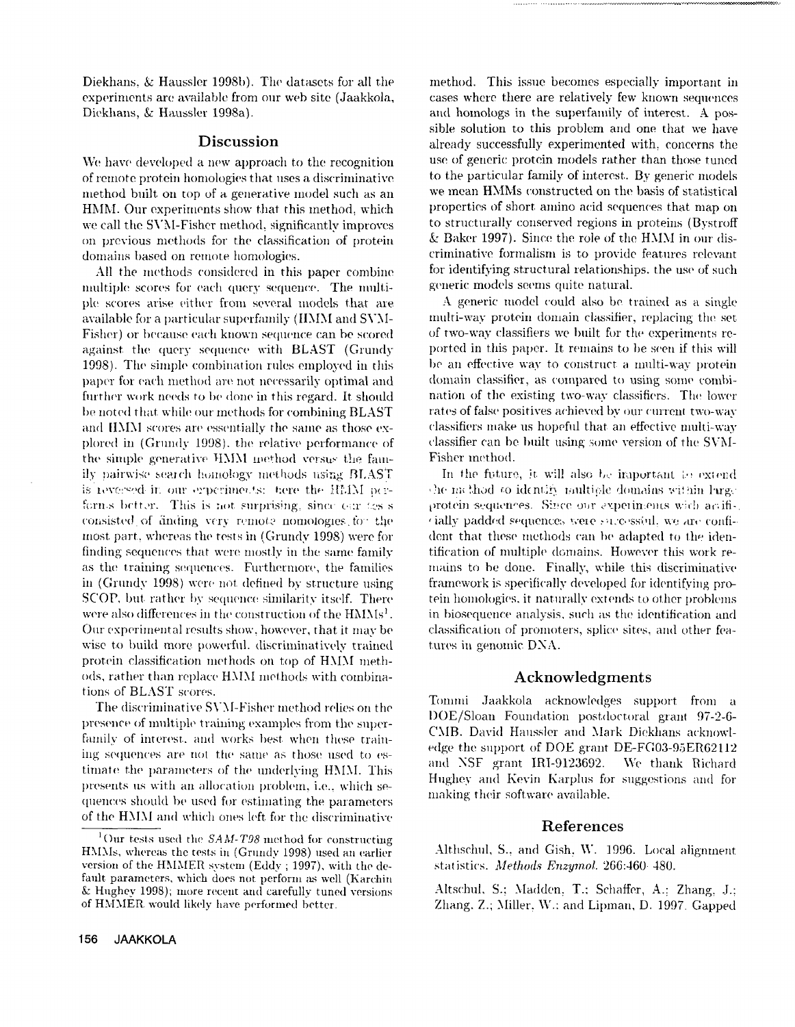Diekhans, & Haussler 1998b). The datasets for all the experiments are available from our web site (Jaakkola, Diekhans, & Haussler 1998a).

### **Discussion**

We have developed a new approach to the recognition of remote protein homologies that uses a discriminative method built on top of a generative model such as an HMM. Our experiments show that this method, which we call the SVM-Fisher method, significantly improves on previous methods for the classification of protein domains based on remote homologies.

All the methods considered in this paper combine multiple scores for each query sequence. The multiple scores arise either from several models that are available for a particular superfamily (HMM and SVM-Fisher) or because each known sequence can be scored against the query sequence with BLAST (Grundy 1998). The simple combination rules employed in this paper for each method are not necessarily optimal and further work needs to be done in this regard. It should be noted that while our methods for combining BLAST and HMM scores are essentially the same as those explored in (Grundy 1998), the relative performance of the simple generative HMM method versus the family pairwise search homology methods using BLAST is reversed in our experiments; here the HMM performs better. This is not surprising, since our tess consisted of anding very remote nomologies for the most part, whereas the tests in (Grundy 1998) were for finding sequences that were mostly in the same family as the training sequences. Furthermore, the families in (Grundy 1998) were not defined by structure using SCOP, but rather by sequence similarity itself. There were also differences in the construction of the HMMs<sup>1</sup>. Our experimental results show, however, that it may be wise to build more powerful, discriminatively trained protein classification methods on top of HMM methods, rather than replace HMM methods with combinations of BLAST scores.

The discriminative SVM-Fisher method relies on the presence of multiple training examples from the superfamily of interest, and works best when these training sequences are not the same as those used to estimate the parameters of the underlying HMM. This presents us with an allocation problem, i.e., which sequences should be used for estimating the parameters of the HMM and which ones left for the discriminative method. This issue becomes especially important in cases where there are relatively few known sequences and homologs in the superfamily of interest. A possible solution to this problem and one that we have already successfully experimented with, concerns the use of generic protein models rather than those tuned to the particular family of interest. By generic models we mean HMMs constructed on the basis of statistical properties of short amino acid sequences that map on to structurally conserved regions in proteins (Bystroff) & Baker 1997). Since the role of the HMM in our discriminative formalism is to provide features relevant for identifying structural relationships, the use of such generic models seems quite natural.

A generic model could also be trained as a single multi-way protein domain classifier, replacing the set of two-way classifiers we built for the experiments reported in this paper. It remains to be seen if this will be an effective way to construct a multi-way protein domain classifier, as compared to using some combination of the existing two-way classifiers. The lower rates of false positives achieved by our current two-way classifiers make us hopeful that an effective multi-way classifier can be built using some version of the SVM-Fisher method.

In the future, it will also be important to extend the method to identify multiple domains within large protein sequences. Since our experiments with anifi-, cially padded sequences were successful, we are confident that these methods can be adapted to the identification of multiple domains. However this work remains to be done. Finally, while this discriminative framework is specifically developed for identifying protein homologies, it naturally extends to other problems in biosequence analysis, such as the identification and classification of promoters, splice sites, and other features in genomic DNA.

### Acknowledgments

Tommi Jaakkola acknowledges support from a DOE/Sloan Foundation postdoctoral grant 97-2-6-CMB. David Haussler and Mark Dickhans acknowledge the support of DOE grant DE-FG03-95ER62112 We thank Richard and NSF grant IRI-9123692. Hughey and Kevin Karplus for suggestions and for making their software available.

### References

Althschul, S., and Gish, W. 1996. Local alignment statistics. Methods Enzymol. 266:460-480.

Altschul, S.; Madden, T.; Schaffer, A.; Zhang, J.; Zhang, Z.; Miller, W.: and Lipman, D. 1997. Gapped

<sup>&</sup>lt;sup>1</sup>Our tests used the  $SAM- T98$  method for constructing HMMs, whereas the tests in (Grundy 1998) used an earlier version of the HMMER system (Eddy; 1997), with the default parameters, which does not perform as well (Karchin & Hughev 1998); more recent and carefully tuned versions of HMMER would likely have performed better.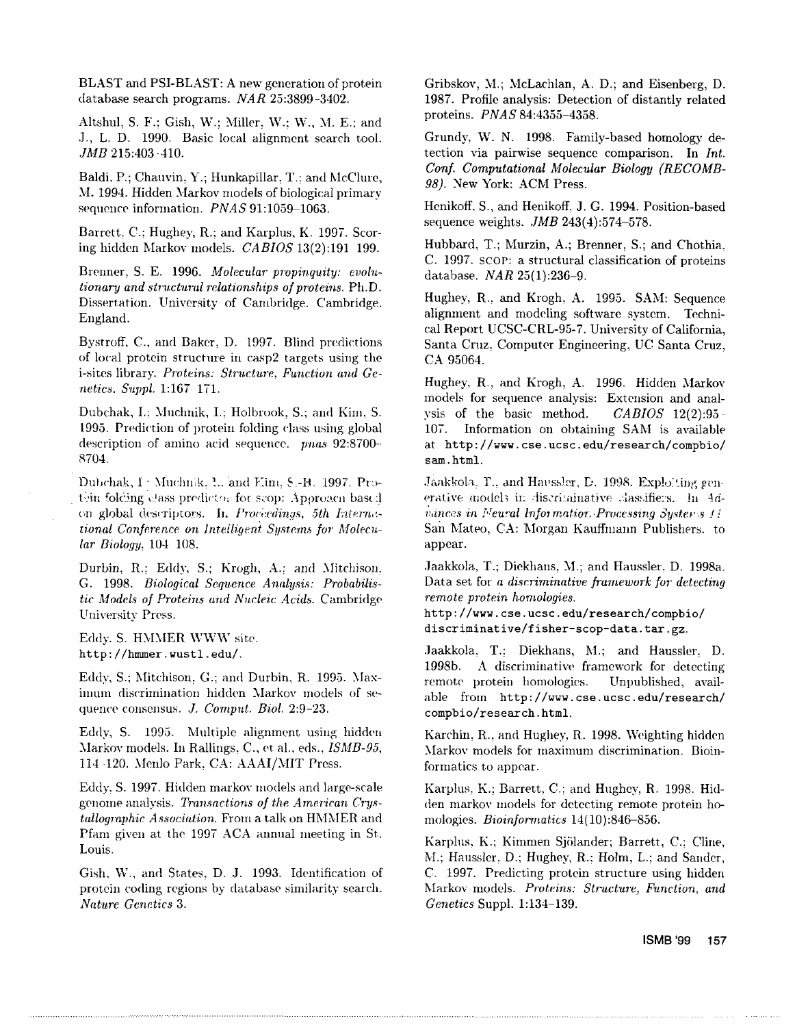BLAST and PSI-BLAST: A new generation of protein database search programs.  $NAR$  25:3899-3402.

Altshul, S. F.; Gish, W.; Miller, W.; W., M. E.; and J., L. D. 1990. Basic local alignment search tool. JMB 215:403 - 410.

Baldi, P.; Chauvin, Y.; Hunkapillar, T.; and McClure, M. 1994. Hidden Markov models of biological primary sequence information. *PNAS* 91:1059-1063.

Barrett, C.; Hughey, R.; and Karplus, K. 1997. Scoring hidden Markov models. CABIOS 13(2):191 199.

Brenner, S. E. 1996. Molecular propinguity: evolu*tionary and structural relationships of proteins.* Ph.D. Dissertation. University of Cambridge. Cambridge. England.

Bystroff, C., and Baker, D. 1997. Blind predictions of local protein structure in casp2 targets using the i-sites library. Proteins: Structure, Function and Genetics. Suppl. 1:167-171.

Dubchak, I.; Muchnik, I.; Holbrook, S.; and Kim, S. 1995. Prediction of protein folding class using global description of amino acid sequence. pnas 92:8700-8704.

Dubchak, I: Muchnik, L. and Elm, S.-H. 1997. Protein folcing class predictor for scop: Aporoacn based on global descriptors. In Proceedinas, 5th International Conference on Intelligent Systems for Molecu $lar$  Biology, 104 108.

Durbin, R.; Eddy, S.; Krogh, A.; and Mitchison. G. 1998. Biological Sequence Analysis: Probabilistic Models of Proteins and Nucleic Acids. Cambridge University Press.

Eddy. S. HMMER WWW site. http://hmmer.wustl.edu/.

Eddy, S.; Mitchison, G.; and Durbin, R. 1995. Maximum discrimination hidden Markov models of sequence consensus. J. Comput. Biol. 2:9-23.

Eddy, S. 1995. Multiple alignment using hidden Markov models. In Rallings, C., et al., eds., ISMB-95, 114 120. Menlo Park, CA: AAAI/MIT Press.

Eddy, S. 1997. Hidden markov models and large-scale genome analysis. Transactions of the American Crys*tallographic Association.* From a talk on HMMER and Pfam given at the 1997 ACA annual meeting in St. Louis.

Gish, W., and States, D. J. 1993. Identification of protein coding regions by database similarity search. Nature Genetics 3.

Gribskov, M.; McLachlan, A. D.; and Eisenberg, D. 1987. Profile analysis: Detection of distantly related proteins. PNAS 84:4355-4358.

Grundy, W. N. 1998. Family-based homology detection via pairwise sequence comparison. In Int. Conf. Computational Molecular Biology (RECOMB-98). New York: ACM Press.

Henikoff, S., and Henikoff, J. G. 1994. Position-based sequence weights.  $JMB$  243(4):574-578.

Hubbard, T.; Murzin, A.; Brenner, S.; and Chothia. C. 1997. SCOP: a structural classification of proteins database. NAR 25(1):236-9.

Hughey, R., and Krogh, A. 1995. SAM: Sequence alignment and modeling software system. Technical Report UCSC-CRL-95-7. University of California, Santa Cruz, Computer Engineering, UC Santa Cruz, CA 95064.

Hughey, R., and Krogh, A. 1996. Hidden Markov models for sequence analysis: Extension and analysis of the basic method.  $CABIOS$  12(2):95 - $107.$ Information on obtaining SAM is available at http://www.cse.ucsc.edu/research/compbio/ sam.html.

Jaakkola, T., and Haussler, D. 1998. Exploiting generative models in discriminative classifiers. In 4dvances in Neural Information Processing Systems 11 San Mateo, CA: Morgan Kauffmann Publishers. to appear.

Jaakkola, T.; Diekhans, M.; and Haussler, D. 1998a. Data set for a discriminative framework for detecting remote protein homologies.

http://www.cse.ucsc.edu/research/compbio/ discriminative/fisher-scop-data.tar.gz.

Jaakkola, T.: Diekhans, M.; and Haussler. D. A discriminative framework for detecting 1998b. remote protein homologies. Unpublished, available from http://www.cse.ucsc.edu/research/ compbio/research.html.

Karchin, R., and Hughey, R. 1998. Weighting hidden Markov models for maximum discrimination. Bioinformatics to appear.

Karplus, K.; Barrett, C.; and Hughey, R. 1998. Hidden markov models for detecting remote protein homologies. Bioinformatics 14(10):846-856.

Karplus, K.; Kimmen Sjölander; Barrett, C.; Cline, M.; Haussler, D.; Hughey, R.: Holm, L.; and Sander, C. 1997. Predicting protein structure using hidden Markov models. Proteins: Structure, Function, and Genetics Suppl. 1:134-139.